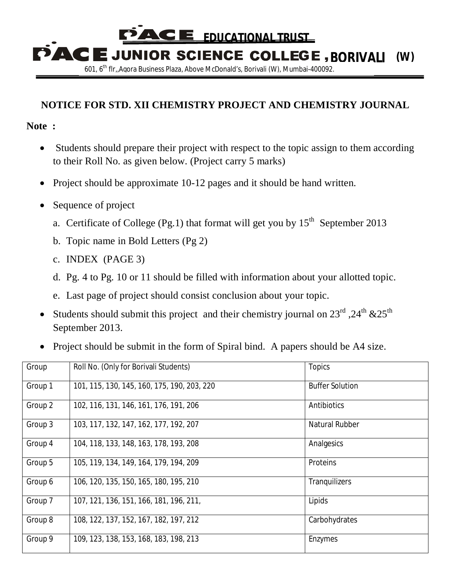CI E  **EDUCATIONAL TRUST**

**PACE JUNIOR SCIENCE COLLEGE, BORIVALI (W)** 601, 6th flr,,Agora Business Plaza, Above McDonald's, Borivali (W), Mumbai-400092.

## **NOTICE FOR STD. XII CHEMISTRY PROJECT AND CHEMISTRY JOURNAL**

## **Note :**

- Students should prepare their project with respect to the topic assign to them according to their Roll No. as given below. (Project carry 5 marks)
- Project should be approximate 10-12 pages and it should be hand written.
- Sequence of project
	- a. Certificate of College (Pg.1) that format will get you by  $15<sup>th</sup>$  September 2013
	- b. Topic name in Bold Letters (Pg 2)
	- c. INDEX (PAGE 3)
	- d. Pg. 4 to Pg. 10 or 11 should be filled with information about your allotted topic.
	- e. Last page of project should consist conclusion about your topic.
- Students should submit this project and their chemistry journal on  $23^{\text{rd}}$ ,  $24^{\text{th}}$  & $25^{\text{th}}$ September 2013.
- Project should be submit in the form of Spiral bind. A papers should be A4 size.

| Group   | Roll No. (Only for Borivali Students)       | <b>Topics</b>          |
|---------|---------------------------------------------|------------------------|
| Group 1 | 101, 115, 130, 145, 160, 175, 190, 203, 220 | <b>Buffer Solution</b> |
| Group 2 | 102, 116, 131, 146, 161, 176, 191, 206      | Antibiotics            |
| Group 3 | 103, 117, 132, 147, 162, 177, 192, 207      | Natural Rubber         |
| Group 4 | 104, 118, 133, 148, 163, 178, 193, 208      | Analgesics             |
| Group 5 | 105, 119, 134, 149, 164, 179, 194, 209      | <b>Proteins</b>        |
| Group 6 | 106, 120, 135, 150, 165, 180, 195, 210      | Tranquilizers          |
| Group 7 | 107, 121, 136, 151, 166, 181, 196, 211,     | Lipids                 |
| Group 8 | 108, 122, 137, 152, 167, 182, 197, 212      | Carbohydrates          |
| Group 9 | 109, 123, 138, 153, 168, 183, 198, 213      | Enzymes                |